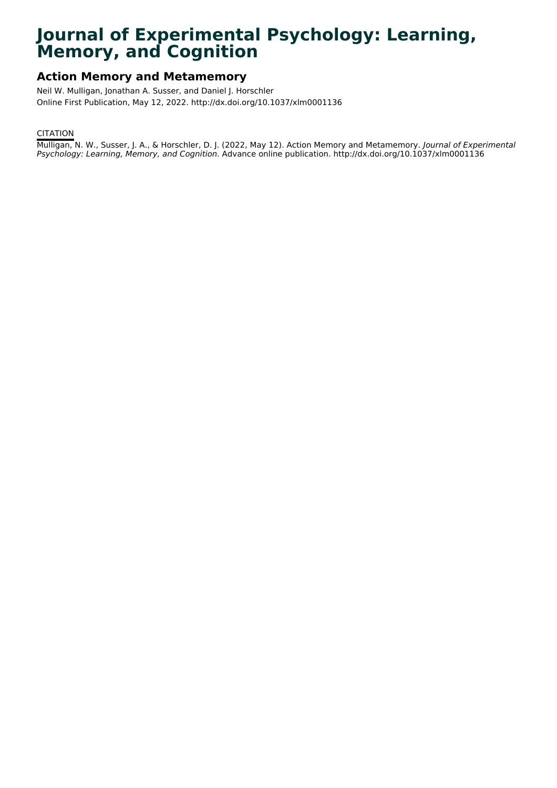# **Journal of Experimental Psychology: Learning, Memory, and Cognition**

# **Action Memory and Metamemory**

Neil W. Mulligan, Jonathan A. Susser, and Daniel J. Horschler Online First Publication, May 12, 2022. http://dx.doi.org/10.1037/xlm0001136

# CITATION

Mulligan, N. W., Susser, J. A., & Horschler, D. J. (2022, May 12). Action Memory and Metamemory. Journal of Experimental Psychology: Learning, Memory, and Cognition. Advance online publication. http://dx.doi.org/10.1037/xlm0001136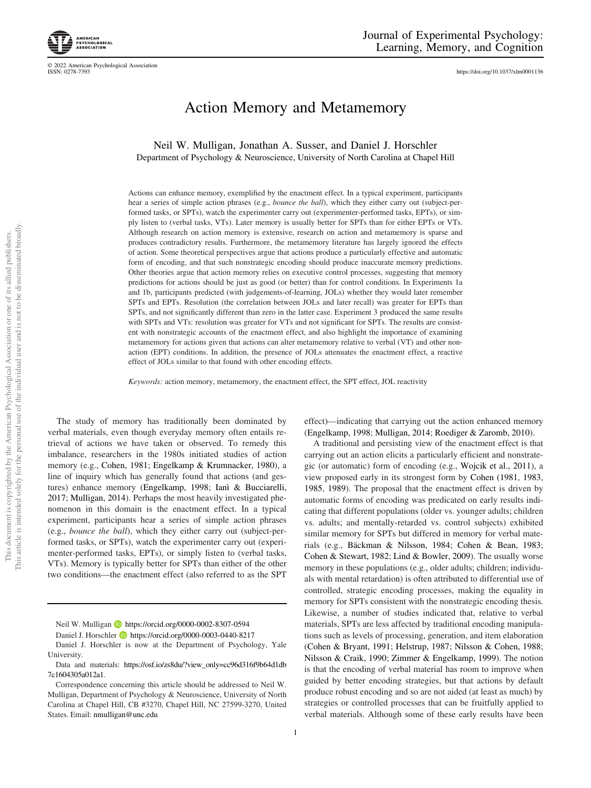© 2022 American Psychological Association

<https://doi.org/10.1037/xlm0001136>

# Action Memory and Metamemory

Neil W. Mulligan, Jonathan A. Susser, and Daniel J. Horschler Department of Psychology & Neuroscience, University of North Carolina at Chapel Hill

Actions can enhance memory, exemplified by the enactment effect. In a typical experiment, participants hear a series of simple action phrases (e.g., bounce the ball), which they either carry out (subject-performed tasks, or SPTs), watch the experimenter carry out (experimenter-performed tasks, EPTs), or simply listen to (verbal tasks, VTs). Later memory is usually better for SPTs than for either EPTs or VTs. Although research on action memory is extensive, research on action and metamemory is sparse and produces contradictory results. Furthermore, the metamemory literature has largely ignored the effects of action. Some theoretical perspectives argue that actions produce a particularly effective and automatic form of encoding, and that such nonstrategic encoding should produce inaccurate memory predictions. Other theories argue that action memory relies on executive control processes, suggesting that memory predictions for actions should be just as good (or better) than for control conditions. In Experiments 1a and 1b, participants predicted (with judgements-of-learning, JOLs) whether they would later remember SPTs and EPTs. Resolution (the correlation between JOLs and later recall) was greater for EPTs than SPTs, and not significantly different than zero in the latter case. Experiment 3 produced the same results with SPTs and VTs: resolution was greater for VTs and not significant for SPTs. The results are consistent with nonstrategic accounts of the enactment effect, and also highlight the importance of examining metamemory for actions given that actions can alter metamemory relative to verbal (VT) and other nonaction (EPT) conditions. In addition, the presence of JOLs attenuates the enactment effect, a reactive effect of JOLs similar to that found with other encoding effects.

Keywords: action memory, metamemory, the enactment effect, the SPT effect, JOL reactivity

The study of memory has traditionally been dominated by verbal materials, even though everyday memory often entails retrieval of actions we have taken or observed. To remedy this imbalance, researchers in the 1980s initiated studies of action memory (e.g., Cohen, 1981; Engelkamp & Krumnacker, 1980), a line of inquiry which has generally found that actions (and gestures) enhance memory (Engelkamp, 1998; Ianì & Bucciarelli, 2017; Mulligan, 2014). Perhaps the most heavily investigated phenomenon in this domain is the enactment effect. In a typical experiment, participants hear a series of simple action phrases (e.g., bounce the ball), which they either carry out (subject-performed tasks, or SPTs), watch the experimenter carry out (experimenter-performed tasks, EPTs), or simply listen to (verbal tasks, VTs). Memory is typically better for SPTs than either of the other two conditions—the enactment effect (also referred to as the SPT

Neil W. Mulligan **<https://orcid.org/0000-0002-8307-0594>** 

Daniel J. Horschler **b** <https://orcid.org/0000-0003-0440-8217>

Daniel J. Horschler is now at the Department of Psychology, Yale University.

effect)—indicating that carrying out the action enhanced memory (Engelkamp, 1998; Mulligan, 2014; Roediger & Zaromb, 2010).

A traditional and persisting view of the enactment effect is that carrying out an action elicits a particularly efficient and nonstrategic (or automatic) form of encoding (e.g., Wojcik et al., 2011), a view proposed early in its strongest form by Cohen (1981, 1983, 1985, 1989). The proposal that the enactment effect is driven by automatic forms of encoding was predicated on early results indicating that different populations (older vs. younger adults; children vs. adults; and mentally-retarded vs. control subjects) exhibited similar memory for SPTs but differed in memory for verbal materials (e.g., Bäckman & Nilsson, 1984; Cohen & Bean, 1983; Cohen & Stewart, 1982; Lind & Bowler, 2009). The usually worse memory in these populations (e.g., older adults; children; individuals with mental retardation) is often attributed to differential use of controlled, strategic encoding processes, making the equality in memory for SPTs consistent with the nonstrategic encoding thesis. Likewise, a number of studies indicated that, relative to verbal materials, SPTs are less affected by traditional encoding manipulations such as levels of processing, generation, and item elaboration (Cohen & Bryant, 1991; Helstrup, 1987; Nilsson & Cohen, 1988; Nilsson & Craik, 1990; Zimmer & Engelkamp, 1999). The notion is that the encoding of verbal material has room to improve when guided by better encoding strategies, but that actions by default produce robust encoding and so are not aided (at least as much) by strategies or controlled processes that can be fruitfully applied to verbal materials. Although some of these early results have been

Data and materials: [https://osf.io/zs8du/?view\\_only=cc96d316f9b64d1db](https://osf.io/zs8du/?view_only=cc96d316f9b64d1db7c1604305a012a1) [7c1604305a012a1](https://osf.io/zs8du/?view_only=cc96d316f9b64d1db7c1604305a012a1).

Correspondence concerning this article should be addressed to Neil W. Mulligan, Department of Psychology & Neuroscience, University of North Carolina at Chapel Hill, CB #3270, Chapel Hill, NC 27599-3270, United States. Email: [nmulligan@unc.edu](mailto:nmulligan@unc.edu)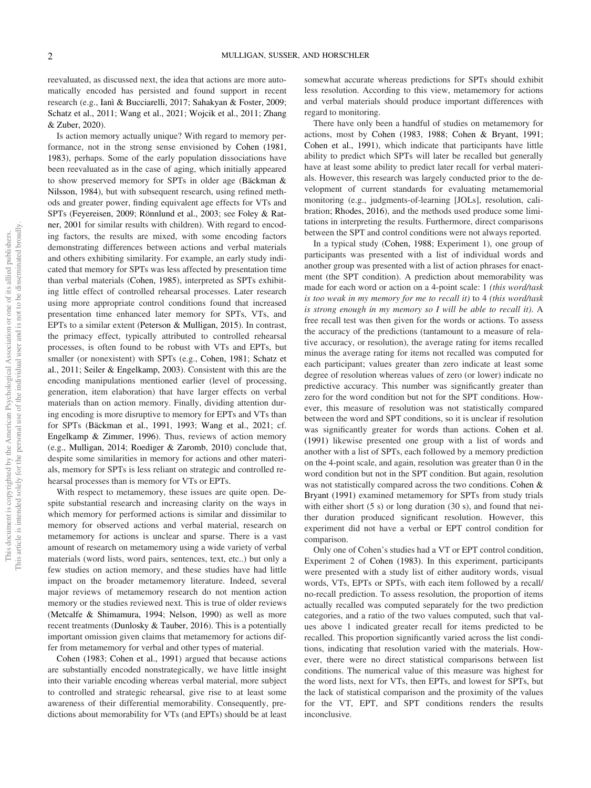reevaluated, as discussed next, the idea that actions are more automatically encoded has persisted and found support in recent research (e.g., Ianì & Bucciarelli, 2017; Sahakyan & Foster, 2009; Schatz et al., 2011; Wang et al., 2021; Wojcik et al., 2011; Zhang & Zuber, 2020).

Is action memory actually unique? With regard to memory performance, not in the strong sense envisioned by Cohen (1981, 1983), perhaps. Some of the early population dissociations have been reevaluated as in the case of aging, which initially appeared to show preserved memory for SPTs in older age (Bäckman & Nilsson, 1984), but with subsequent research, using refined methods and greater power, finding equivalent age effects for VTs and SPTs (Feyereisen, 2009; Rönnlund et al., 2003; see Foley & Ratner, 2001 for similar results with children). With regard to encoding factors, the results are mixed, with some encoding factors demonstrating differences between actions and verbal materials and others exhibiting similarity. For example, an early study indicated that memory for SPTs was less affected by presentation time than verbal materials (Cohen, 1985), interpreted as SPTs exhibiting little effect of controlled rehearsal processes. Later research using more appropriate control conditions found that increased presentation time enhanced later memory for SPTs, VTs, and EPTs to a similar extent (Peterson & Mulligan, 2015). In contrast, the primacy effect, typically attributed to controlled rehearsal processes, is often found to be robust with VTs and EPTs, but smaller (or nonexistent) with SPTs (e.g., Cohen, 1981; Schatz et al., 2011; Seiler & Engelkamp, 2003). Consistent with this are the encoding manipulations mentioned earlier (level of processing, generation, item elaboration) that have larger effects on verbal materials than on action memory. Finally, dividing attention during encoding is more disruptive to memory for EPTs and VTs than for SPTs (Bäckman et al., 1991, 1993; Wang et al., 2021; cf. Engelkamp & Zimmer, 1996). Thus, reviews of action memory (e.g., Mulligan, 2014; Roediger & Zaromb, 2010) conclude that, despite some similarities in memory for actions and other materials, memory for SPTs is less reliant on strategic and controlled rehearsal processes than is memory for VTs or EPTs.

With respect to metamemory, these issues are quite open. Despite substantial research and increasing clarity on the ways in which memory for performed actions is similar and dissimilar to memory for observed actions and verbal material, research on metamemory for actions is unclear and sparse. There is a vast amount of research on metamemory using a wide variety of verbal materials (word lists, word pairs, sentences, text, etc..) but only a few studies on action memory, and these studies have had little impact on the broader metamemory literature. Indeed, several major reviews of metamemory research do not mention action memory or the studies reviewed next. This is true of older reviews (Metcalfe & Shimamura, 1994; Nelson, 1990) as well as more recent treatments (Dunlosky & Tauber, 2016). This is a potentially important omission given claims that metamemory for actions differ from metamemory for verbal and other types of material.

Cohen (1983; Cohen et al., 1991) argued that because actions are substantially encoded nonstrategically, we have little insight into their variable encoding whereas verbal material, more subject to controlled and strategic rehearsal, give rise to at least some awareness of their differential memorability. Consequently, predictions about memorability for VTs (and EPTs) should be at least somewhat accurate whereas predictions for SPTs should exhibit less resolution. According to this view, metamemory for actions and verbal materials should produce important differences with regard to monitoring.

There have only been a handful of studies on metamemory for actions, most by Cohen (1983, 1988; Cohen & Bryant, 1991; Cohen et al., 1991), which indicate that participants have little ability to predict which SPTs will later be recalled but generally have at least some ability to predict later recall for verbal materials. However, this research was largely conducted prior to the development of current standards for evaluating metamemorial monitoring (e.g., judgments-of-learning [JOLs], resolution, calibration; Rhodes, 2016), and the methods used produce some limitations in interpreting the results. Furthermore, direct comparisons between the SPT and control conditions were not always reported.

In a typical study (Cohen, 1988; Experiment 1), one group of participants was presented with a list of individual words and another group was presented with a list of action phrases for enactment (the SPT condition). A prediction about memorability was made for each word or action on a 4-point scale: 1 (this word/task is too weak in my memory for me to recall it) to 4 (this word/task is strong enough in my memory so I will be able to recall it). A free recall test was then given for the words or actions. To assess the accuracy of the predictions (tantamount to a measure of relative accuracy, or resolution), the average rating for items recalled minus the average rating for items not recalled was computed for each participant; values greater than zero indicate at least some degree of resolution whereas values of zero (or lower) indicate no predictive accuracy. This number was significantly greater than zero for the word condition but not for the SPT conditions. However, this measure of resolution was not statistically compared between the word and SPT conditions, so it is unclear if resolution was significantly greater for words than actions. Cohen et al. (1991) likewise presented one group with a list of words and another with a list of SPTs, each followed by a memory prediction on the 4-point scale, and again, resolution was greater than 0 in the word condition but not in the SPT condition. But again, resolution was not statistically compared across the two conditions. Cohen & Bryant (1991) examined metamemory for SPTs from study trials with either short (5 s) or long duration (30 s), and found that neither duration produced significant resolution. However, this experiment did not have a verbal or EPT control condition for comparison.

Only one of Cohen's studies had a VT or EPT control condition, Experiment 2 of Cohen (1983). In this experiment, participants were presented with a study list of either auditory words, visual words, VTs, EPTs or SPTs, with each item followed by a recall/ no-recall prediction. To assess resolution, the proportion of items actually recalled was computed separately for the two prediction categories, and a ratio of the two values computed, such that values above 1 indicated greater recall for items predicted to be recalled. This proportion significantly varied across the list conditions, indicating that resolution varied with the materials. However, there were no direct statistical comparisons between list conditions. The numerical value of this measure was highest for the word lists, next for VTs, then EPTs, and lowest for SPTs, but the lack of statistical comparison and the proximity of the values for the VT, EPT, and SPT conditions renders the results inconclusive.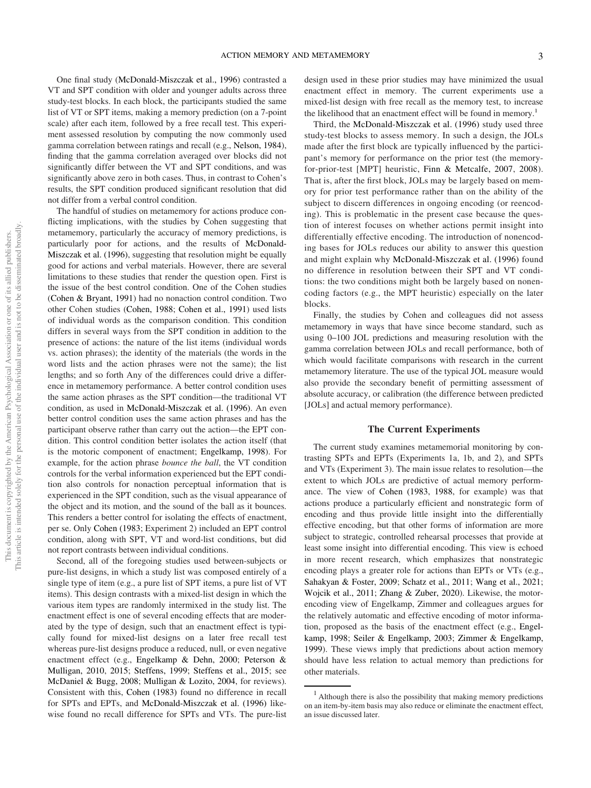One final study (McDonald-Miszczak et al., 1996) contrasted a VT and SPT condition with older and younger adults across three study-test blocks. In each block, the participants studied the same list of VT or SPT items, making a memory prediction (on a 7-point scale) after each item, followed by a free recall test. This experiment assessed resolution by computing the now commonly used gamma correlation between ratings and recall (e.g., Nelson, 1984), finding that the gamma correlation averaged over blocks did not significantly differ between the VT and SPT conditions, and was significantly above zero in both cases. Thus, in contrast to Cohen's results, the SPT condition produced significant resolution that did not differ from a verbal control condition.

The handful of studies on metamemory for actions produce conflicting implications, with the studies by Cohen suggesting that metamemory, particularly the accuracy of memory predictions, is particularly poor for actions, and the results of McDonald-Miszczak et al. (1996), suggesting that resolution might be equally good for actions and verbal materials. However, there are several limitations to these studies that render the question open. First is the issue of the best control condition. One of the Cohen studies (Cohen & Bryant, 1991) had no nonaction control condition. Two other Cohen studies (Cohen, 1988; Cohen et al., 1991) used lists of individual words as the comparison condition. This condition differs in several ways from the SPT condition in addition to the presence of actions: the nature of the list items (individual words vs. action phrases); the identity of the materials (the words in the word lists and the action phrases were not the same); the list lengths; and so forth Any of the differences could drive a difference in metamemory performance. A better control condition uses the same action phrases as the SPT condition—the traditional VT condition, as used in McDonald-Miszczak et al. (1996). An even better control condition uses the same action phrases and has the participant observe rather than carry out the action—the EPT condition. This control condition better isolates the action itself (that is the motoric component of enactment; Engelkamp, 1998). For example, for the action phrase bounce the ball, the VT condition controls for the verbal information experienced but the EPT condition also controls for nonaction perceptual information that is experienced in the SPT condition, such as the visual appearance of the object and its motion, and the sound of the ball as it bounces. This renders a better control for isolating the effects of enactment, per se. Only Cohen (1983; Experiment 2) included an EPT control condition, along with SPT, VT and word-list conditions, but did not report contrasts between individual conditions.

Second, all of the foregoing studies used between-subjects or pure-list designs, in which a study list was composed entirely of a single type of item (e.g., a pure list of SPT items, a pure list of VT items). This design contrasts with a mixed-list design in which the various item types are randomly intermixed in the study list. The enactment effect is one of several encoding effects that are moderated by the type of design, such that an enactment effect is typically found for mixed-list designs on a later free recall test whereas pure-list designs produce a reduced, null, or even negative enactment effect (e.g., Engelkamp & Dehn, 2000; Peterson & Mulligan, 2010, 2015; Steffens, 1999; Steffens et al., 2015; see McDaniel & Bugg, 2008; Mulligan & Lozito, 2004, for reviews). Consistent with this, Cohen (1983) found no difference in recall for SPTs and EPTs, and McDonald-Miszczak et al. (1996) likewise found no recall difference for SPTs and VTs. The pure-list design used in these prior studies may have minimized the usual enactment effect in memory. The current experiments use a mixed-list design with free recall as the memory test, to increase the likelihood that an enactment effect will be found in memory.<sup>1</sup>

Third, the McDonald-Miszczak et al. (1996) study used three study-test blocks to assess memory. In such a design, the JOLs made after the first block are typically influenced by the participant's memory for performance on the prior test (the memoryfor-prior-test [MPT] heuristic, Finn & Metcalfe, 2007, 2008). That is, after the first block, JOLs may be largely based on memory for prior test performance rather than on the ability of the subject to discern differences in ongoing encoding (or reencoding). This is problematic in the present case because the question of interest focuses on whether actions permit insight into differentially effective encoding. The introduction of nonencoding bases for JOLs reduces our ability to answer this question and might explain why McDonald-Miszczak et al. (1996) found no difference in resolution between their SPT and VT conditions: the two conditions might both be largely based on nonencoding factors (e.g., the MPT heuristic) especially on the later blocks.

Finally, the studies by Cohen and colleagues did not assess metamemory in ways that have since become standard, such as using 0–100 JOL predictions and measuring resolution with the gamma correlation between JOLs and recall performance, both of which would facilitate comparisons with research in the current metamemory literature. The use of the typical JOL measure would also provide the secondary benefit of permitting assessment of absolute accuracy, or calibration (the difference between predicted [JOLs] and actual memory performance).

#### The Current Experiments

The current study examines metamemorial monitoring by contrasting SPTs and EPTs (Experiments 1a, 1b, and 2), and SPTs and VTs (Experiment 3). The main issue relates to resolution—the extent to which JOLs are predictive of actual memory performance. The view of Cohen (1983, 1988, for example) was that actions produce a particularly efficient and nonstrategic form of encoding and thus provide little insight into the differentially effective encoding, but that other forms of information are more subject to strategic, controlled rehearsal processes that provide at least some insight into differential encoding. This view is echoed in more recent research, which emphasizes that nonstrategic encoding plays a greater role for actions than EPTs or VTs (e.g., Sahakyan & Foster, 2009; Schatz et al., 2011; Wang et al., 2021; Wojcik et al., 2011; Zhang & Zuber, 2020). Likewise, the motorencoding view of Engelkamp, Zimmer and colleagues argues for the relatively automatic and effective encoding of motor information, proposed as the basis of the enactment effect (e.g., Engelkamp, 1998; Seiler & Engelkamp, 2003; Zimmer & Engelkamp, 1999). These views imply that predictions about action memory should have less relation to actual memory than predictions for other materials.

 $<sup>1</sup>$  Although there is also the possibility that making memory predictions</sup> on an item-by-item basis may also reduce or eliminate the enactment effect, an issue discussed later.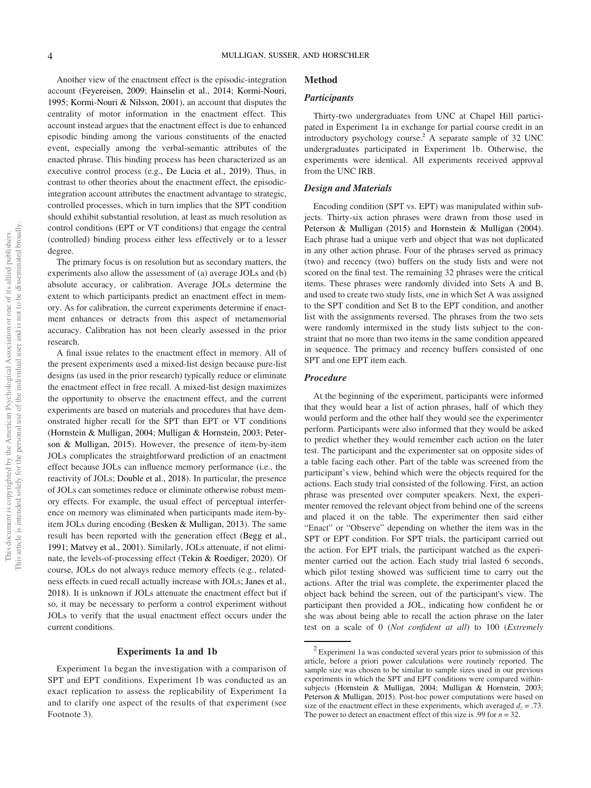Another view of the enactment effect is the episodic-integration account (Feyereisen, 2009; Hainselin et al., 2014; Kormi-Nouri, 1995; Kormi-Nouri & Nilsson, 2001), an account that disputes the centrality of motor information in the enactment effect. This account instead argues that the enactment effect is due to enhanced episodic binding among the various constituents of the enacted event, especially among the verbal-semantic attributes of the enacted phrase. This binding process has been characterized as an executive control process (e.g., De Lucia et al., 2019). Thus, in contrast to other theories about the enactment effect, the episodicintegration account attributes the enactment advantage to strategic, controlled processes, which in turn implies that the SPT condition should exhibit substantial resolution, at least as much resolution as control conditions (EPT or VT conditions) that engage the central (controlled) binding process either less effectively or to a lesser degree.

The primary focus is on resolution but as secondary matters, the experiments also allow the assessment of (a) average JOLs and (b) absolute accuracy, or calibration. Average JOLs determine the extent to which participants predict an enactment effect in memory. As for calibration, the current experiments determine if enactment enhances or detracts from this aspect of metamemorial accuracy. Calibration has not been clearly assessed in the prior research.

A final issue relates to the enactment effect in memory. All of the present experiments used a mixed-list design because pure-list designs (as used in the prior research) typically reduce or eliminate the enactment effect in free recall. A mixed-list design maximizes the opportunity to observe the enactment effect, and the current experiments are based on materials and procedures that have demonstrated higher recall for the SPT than EPT or VT conditions (Hornstein & Mulligan, 2004; Mulligan & Hornstein, 2003; Peterson & Mulligan, 2015). However, the presence of item-by-item JOLs complicates the straightforward prediction of an enactment effect because JOLs can influence memory performance (i.e., the reactivity of JOLs; Double et al., 2018). In particular, the presence of JOLs can sometimes reduce or eliminate otherwise robust memory effects. For example, the usual effect of perceptual interference on memory was eliminated when participants made item-byitem JOLs during encoding (Besken & Mulligan, 2013). The same result has been reported with the generation effect (Begg et al., 1991; Matvey et al., 2001). Similarly, JOLs attenuate, if not eliminate, the levels-of-processing effect (Tekin & Roediger, 2020). Of course, JOLs do not always reduce memory effects (e.g., relatedness effects in cued recall actually increase with JOLs; Janes et al., 2018). It is unknown if JOLs attenuate the enactment effect but if so, it may be necessary to perform a control experiment without JOLs to verify that the usual enactment effect occurs under the current conditions.

#### Experiments 1a and 1b

Experiment 1a began the investigation with a comparison of SPT and EPT conditions. Experiment 1b was conducted as an exact replication to assess the replicability of Experiment 1a and to clarify one aspect of the results of that experiment (see Footnote 3).

# Method

#### **Participants**

Thirty-two undergraduates from UNC at Chapel Hill participated in Experiment 1a in exchange for partial course credit in an introductory psychology course.2 A separate sample of 32 UNC undergraduates participated in Experiment 1b. Otherwise, the experiments were identical. All experiments received approval from the UNC IRB.

#### Design and Materials

Encoding condition (SPT vs. EPT) was manipulated within subjects. Thirty-six action phrases were drawn from those used in Peterson & Mulligan (2015) and Hornstein & Mulligan (2004). Each phrase had a unique verb and object that was not duplicated in any other action phrase. Four of the phrases served as primacy (two) and recency (two) buffers on the study lists and were not scored on the final test. The remaining 32 phrases were the critical items. These phrases were randomly divided into Sets A and B, and used to create two study lists, one in which Set A was assigned to the SPT condition and Set B to the EPT condition, and another list with the assignments reversed. The phrases from the two sets were randomly intermixed in the study lists subject to the constraint that no more than two items in the same condition appeared in sequence. The primacy and recency buffers consisted of one SPT and one EPT item each.

#### Procedure

At the beginning of the experiment, participants were informed that they would hear a list of action phrases, half of which they would perform and the other half they would see the experimenter perform. Participants were also informed that they would be asked to predict whether they would remember each action on the later test. The participant and the experimenter sat on opposite sides of a table facing each other. Part of the table was screened from the participant's view, behind which were the objects required for the actions. Each study trial consisted of the following. First, an action phrase was presented over computer speakers. Next, the experimenter removed the relevant object from behind one of the screens and placed it on the table. The experimenter then said either "Enact" or "Observe" depending on whether the item was in the SPT or EPT condition. For SPT trials, the participant carried out the action. For EPT trials, the participant watched as the experimenter carried out the action. Each study trial lasted 6 seconds, which pilot testing showed was sufficient time to carry out the actions. After the trial was complete, the experimenter placed the object back behind the screen, out of the participant's view. The participant then provided a JOL, indicating how confident he or she was about being able to recall the action phrase on the later test on a scale of 0 (Not confident at all) to 100 (Extremely

 $2$  Experiment 1a was conducted several years prior to submission of this article, before a priori power calculations were routinely reported. The sample size was chosen to be similar to sample sizes used in our previous experiments in which the SPT and EPT conditions were compared withinsubjects (Hornstein & Mulligan, 2004; Mulligan & Hornstein, 2003; Peterson & Mulligan, 2015). Post-hoc power computations were based on size of the enactment effect in these experiments, which averaged  $d_z = .73$ . The power to detect an enactment effect of this size is .99 for  $n = 32$ .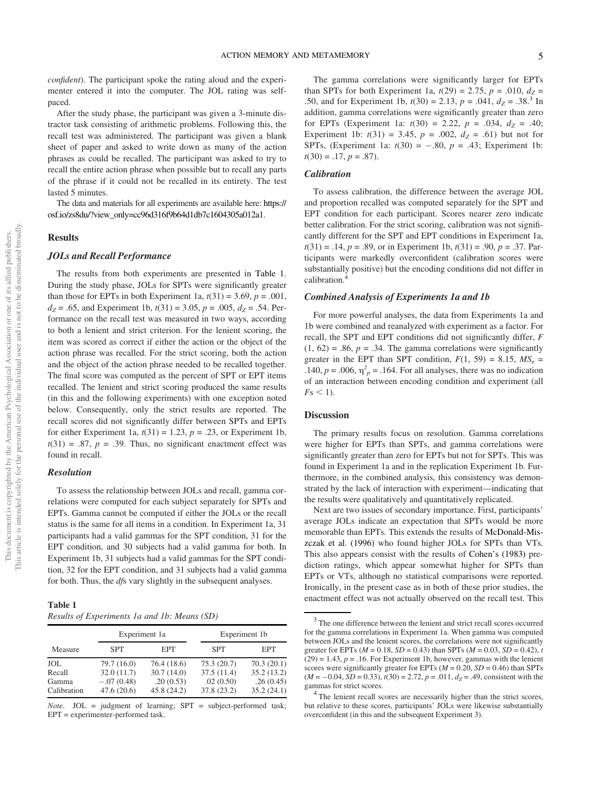confident). The participant spoke the rating aloud and the experimenter entered it into the computer. The JOL rating was selfpaced.

After the study phase, the participant was given a 3-minute distractor task consisting of arithmetic problems. Following this, the recall test was administered. The participant was given a blank sheet of paper and asked to write down as many of the action phrases as could be recalled. The participant was asked to try to recall the entire action phrase when possible but to recall any parts of the phrase if it could not be recalled in its entirety. The test lasted 5 minutes.

The data and materials for all experiments are available here: [https://](https://osf.io/zs8du/?view_only=cc96d316f9b64d1db7c1604305a012a1) [osf.io/zs8du/?view\\_only=cc96d316f9b64d1db7c1604305a012a1.](https://osf.io/zs8du/?view_only=cc96d316f9b64d1db7c1604305a012a1)

#### Results

# JOLs and Recall Performance

The results from both experiments are presented in Table 1. During the study phase, JOLs for SPTs were significantly greater than those for EPTs in both Experiment 1a,  $t(31) = 3.69$ ,  $p = .001$ ,  $d_Z$  = .65, and Experiment 1b,  $t(31)$  = 3.05,  $p$  = .005,  $d_Z$  = .54. Performance on the recall test was measured in two ways, according to both a lenient and strict criterion. For the lenient scoring, the item was scored as correct if either the action or the object of the action phrase was recalled. For the strict scoring, both the action and the object of the action phrase needed to be recalled together. The final score was computed as the percent of SPT or EPT items recalled. The lenient and strict scoring produced the same results (in this and the following experiments) with one exception noted below. Consequently, only the strict results are reported. The recall scores did not significantly differ between SPTs and EPTs for either Experiment 1a,  $t(31) = 1.23$ ,  $p = .23$ , or Experiment 1b,  $t(31) = .87$ ,  $p = .39$ . Thus, no significant enactment effect was found in recall.

#### Resolution

To assess the relationship between JOLs and recall, gamma correlations were computed for each subject separately for SPTs and EPTs. Gamma cannot be computed if either the JOLs or the recall status is the same for all items in a condition. In Experiment 1a, 31 participants had a valid gammas for the SPT condition, 31 for the EPT condition, and 30 subjects had a valid gamma for both. In Experiment 1b, 31 subjects had a valid gammas for the SPT condition, 32 for the EPT condition, and 31 subjects had a valid gamma for both. Thus, the *dfs* vary slightly in the subsequent analyses.

| Table 1                                      |  |  |
|----------------------------------------------|--|--|
| Results of Experiments 1a and 1b: Means (SD) |  |  |

|                      |                            | Experiment 1a            |                          | Experiment 1b           |  |  |
|----------------------|----------------------------|--------------------------|--------------------------|-------------------------|--|--|
| Measure              | <b>SPT</b>                 | <b>EPT</b>               | <b>SPT</b>               | <b>EPT</b>              |  |  |
| <b>JOL</b>           | 79.7 (16.0)                | 76.4 (18.6)              | 75.3(20.7)               | 70.3(20.1)              |  |  |
| Recall               | 32.0(11.7)                 | 30.7(14.0)               | 37.5(11.4)               | 35.2(13.2)              |  |  |
| Gamma<br>Calibration | $-.07(0.48)$<br>47.6(20.6) | .20(0.53)<br>45.8 (24.2) | .02(0.50)<br>37.8 (23.2) | .26(0.45)<br>35.2(24.1) |  |  |

*Note.* JOL = judgment of learning;  $SPT$  = subject-performed task; EPT = experimenter-performed task.

The gamma correlations were significantly larger for EPTs than SPTs for both Experiment 1a,  $t(29) = 2.75$ ,  $p = .010$ ,  $d_Z =$ .50, and for Experiment 1b,  $t(30) = 2.13$ ,  $p = .041$ ,  $d_Z = .38$ <sup>3</sup> In addition, gamma correlations were significantly greater than zero for EPTs (Experiment 1a:  $t(30) = 2.22$ ,  $p = .034$ ,  $d_Z = .40$ ; Experiment 1b:  $t(31) = 3.45$ ,  $p = .002$ ,  $d_Z = .61$ ) but not for SPTs, (Experiment 1a:  $t(30) = -.80$ ,  $p = .43$ ; Experiment 1b:  $t(30) = .17, p = .87$ .

# **Calibration**

To assess calibration, the difference between the average JOL and proportion recalled was computed separately for the SPT and EPT condition for each participant. Scores nearer zero indicate better calibration. For the strict scoring, calibration was not significantly different for the SPT and EPT conditions in Experiment 1a,  $t(31) = .14$ ,  $p = .89$ , or in Experiment 1b,  $t(31) = .90$ ,  $p = .37$ . Participants were markedly overconfident (calibration scores were substantially positive) but the encoding conditions did not differ in calibration.<sup>4</sup>

#### Combined Analysis of Experiments 1a and 1b

For more powerful analyses, the data from Experiments 1a and 1b were combined and reanalyzed with experiment as a factor. For recall, the SPT and EPT conditions did not significantly differ, F  $(1, 62) = .86$ ,  $p = .34$ . The gamma correlations were significantly greater in the EPT than SPT condition,  $F(1, 59) = 8.15$ ,  $MS_e$  = .140,  $p = .006$ ,  $\eta_p^2 = .164$ . For all analyses, there was no indication of an interaction between encoding condition and experiment (all  $Fs < 1$ ).

# **Discussion**

The primary results focus on resolution. Gamma correlations were higher for EPTs than SPTs, and gamma correlations were significantly greater than zero for EPTs but not for SPTs. This was found in Experiment 1a and in the replication Experiment 1b. Furthermore, in the combined analysis, this consistency was demonstrated by the lack of interaction with experiment—indicating that the results were qualitatively and quantitatively replicated.

Next are two issues of secondary importance. First, participants' average JOLs indicate an expectation that SPTs would be more memorable than EPTs. This extends the results of McDonald-Miszczak et al. (1996) who found higher JOLs for SPTs than VTs. This also appears consist with the results of Cohen's (1983) prediction ratings, which appear somewhat higher for SPTs than EPTs or VTs, although no statistical comparisons were reported. Ironically, in the present case as in both of these prior studies, the enactment effect was not actually observed on the recall test. This

 $3$  The one difference between the lenient and strict recall scores occurred for the gamma correlations in Experiment 1a. When gamma was computed between JOLs and the lenient scores, the correlations were not significantly greater for EPTs ( $M = 0.18$ ,  $SD = 0.43$ ) than SPTs ( $M = 0.03$ ,  $SD = 0.42$ ), t  $(29) = 1.43$ ,  $p = .16$ . For Experiment 1b, however, gammas with the lenient scores were significantly greater for EPTs  $(M = 0.20, SD = 0.46)$  than SPTs  $(M = -0.04, SD = 0.33)$ ,  $t(30) = 2.72$ ,  $p = .011$ ,  $d_Z = .49$ , consistent with the gammas for strict scores.

 $4$ <sup>4</sup> The lenient recall scores are necessarily higher than the strict scores, but relative to these scores, participants' JOLs were likewise substantially overconfident (in this and the subsequent Experiment 3).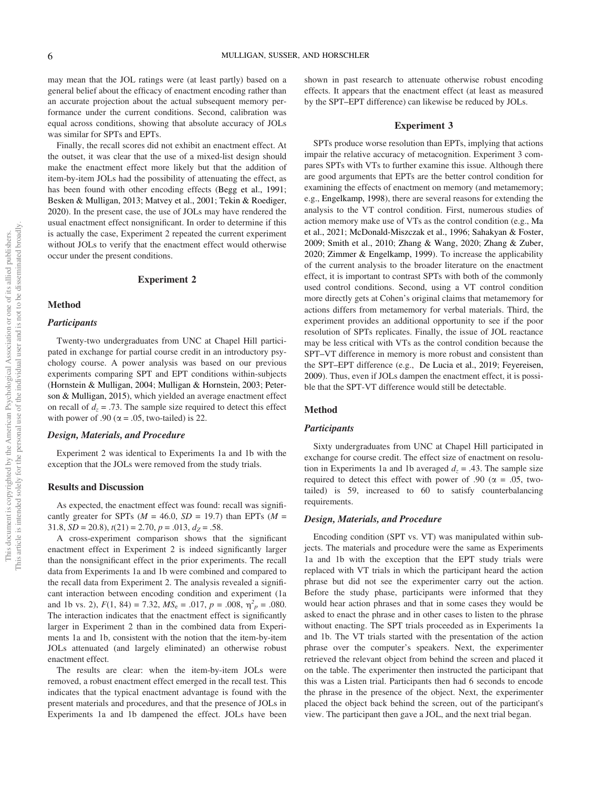may mean that the JOL ratings were (at least partly) based on a general belief about the efficacy of enactment encoding rather than an accurate projection about the actual subsequent memory performance under the current conditions. Second, calibration was equal across conditions, showing that absolute accuracy of JOLs was similar for SPTs and EPTs.

Finally, the recall scores did not exhibit an enactment effect. At the outset, it was clear that the use of a mixed-list design should make the enactment effect more likely but that the addition of item-by-item JOLs had the possibility of attenuating the effect, as has been found with other encoding effects (Begg et al., 1991; Besken & Mulligan, 2013; Matvey et al., 2001; Tekin & Roediger, 2020). In the present case, the use of JOLs may have rendered the usual enactment effect nonsignificant. In order to determine if this is actually the case, Experiment 2 repeated the current experiment without JOLs to verify that the enactment effect would otherwise occur under the present conditions.

# Experiment 2

#### Method

#### **Participants**

Twenty-two undergraduates from UNC at Chapel Hill participated in exchange for partial course credit in an introductory psychology course. A power analysis was based on our previous experiments comparing SPT and EPT conditions within-subjects (Hornstein & Mulligan, 2004; Mulligan & Hornstein, 2003; Peterson & Mulligan, 2015), which yielded an average enactment effect on recall of  $d_z = .73$ . The sample size required to detect this effect with power of .90 ( $\alpha$  = .05, two-tailed) is 22.

#### Design, Materials, and Procedure

Experiment 2 was identical to Experiments 1a and 1b with the exception that the JOLs were removed from the study trials.

# Results and Discussion

As expected, the enactment effect was found: recall was significantly greater for SPTs ( $M = 46.0$ ,  $SD = 19.7$ ) than EPTs ( $M =$ 31.8,  $SD = 20.8$ ),  $t(21) = 2.70$ ,  $p = .013$ ,  $d_Z = .58$ .

A cross-experiment comparison shows that the significant enactment effect in Experiment 2 is indeed significantly larger than the nonsignificant effect in the prior experiments. The recall data from Experiments 1a and 1b were combined and compared to the recall data from Experiment 2. The analysis revealed a significant interaction between encoding condition and experiment (1a and 1b vs. 2),  $F(1, 84) = 7.32$ ,  $MS_e = .017$ ,  $p = .008$ ,  $\eta_p^2 = .080$ . The interaction indicates that the enactment effect is significantly larger in Experiment 2 than in the combined data from Experiments 1a and 1b, consistent with the notion that the item-by-item JOLs attenuated (and largely eliminated) an otherwise robust enactment effect.

The results are clear: when the item-by-item JOLs were removed, a robust enactment effect emerged in the recall test. This indicates that the typical enactment advantage is found with the present materials and procedures, and that the presence of JOLs in Experiments 1a and 1b dampened the effect. JOLs have been shown in past research to attenuate otherwise robust encoding effects. It appears that the enactment effect (at least as measured by the SPT–EPT difference) can likewise be reduced by JOLs.

## Experiment 3

SPTs produce worse resolution than EPTs, implying that actions impair the relative accuracy of metacognition. Experiment 3 compares SPTs with VTs to further examine this issue. Although there are good arguments that EPTs are the better control condition for examining the effects of enactment on memory (and metamemory; e.g., Engelkamp, 1998), there are several reasons for extending the analysis to the VT control condition. First, numerous studies of action memory make use of VTs as the control condition (e.g., Ma et al., 2021; McDonald-Miszczak et al., 1996; Sahakyan & Foster, 2009; Smith et al., 2010; Zhang & Wang, 2020; Zhang & Zuber, 2020; Zimmer & Engelkamp, 1999). To increase the applicability of the current analysis to the broader literature on the enactment effect, it is important to contrast SPTs with both of the commonly used control conditions. Second, using a VT control condition more directly gets at Cohen's original claims that metamemory for actions differs from metamemory for verbal materials. Third, the experiment provides an additional opportunity to see if the poor resolution of SPTs replicates. Finally, the issue of JOL reactance may be less critical with VTs as the control condition because the SPT–VT difference in memory is more robust and consistent than the SPT–EPT difference (e.g., De Lucia et al., 2019; Feyereisen, 2009). Thus, even if JOLs dampen the enactment effect, it is possible that the SPT-VT difference would still be detectable.

# Method

# **Participants**

Sixty undergraduates from UNC at Chapel Hill participated in exchange for course credit. The effect size of enactment on resolution in Experiments 1a and 1b averaged  $d_z = .43$ . The sample size required to detect this effect with power of .90 ( $\alpha = .05$ , twotailed) is 59, increased to 60 to satisfy counterbalancing requirements.

#### Design, Materials, and Procedure

Encoding condition (SPT vs. VT) was manipulated within subjects. The materials and procedure were the same as Experiments 1a and 1b with the exception that the EPT study trials were replaced with VT trials in which the participant heard the action phrase but did not see the experimenter carry out the action. Before the study phase, participants were informed that they would hear action phrases and that in some cases they would be asked to enact the phrase and in other cases to listen to the phrase without enacting. The SPT trials proceeded as in Experiments 1a and 1b. The VT trials started with the presentation of the action phrase over the computer's speakers. Next, the experimenter retrieved the relevant object from behind the screen and placed it on the table. The experimenter then instructed the participant that this was a Listen trial. Participants then had 6 seconds to encode the phrase in the presence of the object. Next, the experimenter placed the object back behind the screen, out of the participant's view. The participant then gave a JOL, and the next trial began.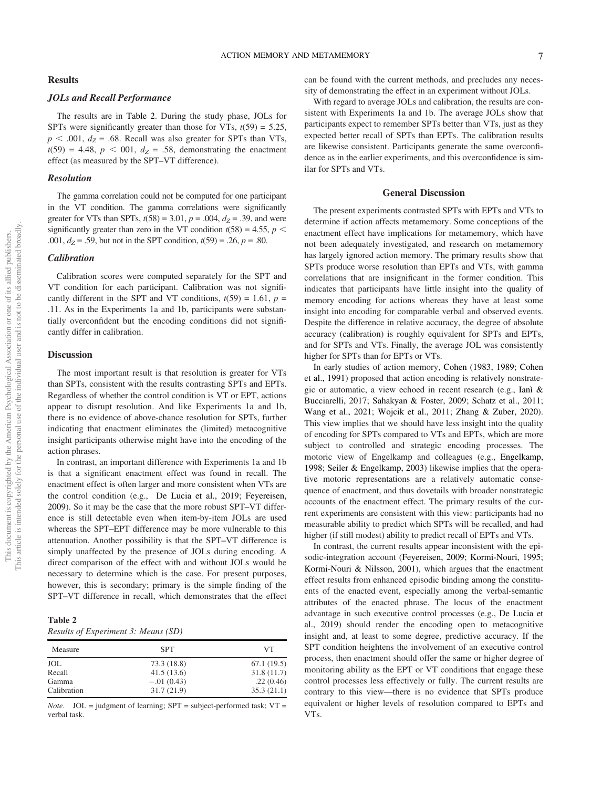# JOLs and Recall Performance

The results are in [Table 2.](#page-7-0) During the study phase, JOLs for SPTs were significantly greater than those for VTs,  $t(59) = 5.25$ ,  $p < .001$ ,  $d_Z = .68$ . Recall was also greater for SPTs than VTs,  $t(59) = 4.48$ ,  $p < 001$ ,  $d_Z = .58$ , demonstrating the enactment effect (as measured by the SPT–VT difference).

#### Resolution

The gamma correlation could not be computed for one participant in the VT condition. The gamma correlations were significantly greater for VTs than SPTs,  $t(58) = 3.01$ ,  $p = .004$ ,  $d_Z = .39$ , and were significantly greater than zero in the VT condition  $t(58) = 4.55$ ,  $p <$ .001,  $d_Z$  = .59, but not in the SPT condition,  $t(59)$  = .26,  $p = .80$ .

# **Calibration**

Calibration scores were computed separately for the SPT and VT condition for each participant. Calibration was not significantly different in the SPT and VT conditions,  $t(59) = 1.61$ ,  $p =$ .11. As in the Experiments 1a and 1b, participants were substantially overconfident but the encoding conditions did not significantly differ in calibration.

#### **Discussion**

The most important result is that resolution is greater for VTs than SPTs, consistent with the results contrasting SPTs and EPTs. Regardless of whether the control condition is VT or EPT, actions appear to disrupt resolution. And like Experiments 1a and 1b, there is no evidence of above-chance resolution for SPTs, further indicating that enactment eliminates the (limited) metacognitive insight participants otherwise might have into the encoding of the action phrases.

In contrast, an important difference with Experiments 1a and 1b is that a significant enactment effect was found in recall. The enactment effect is often larger and more consistent when VTs are the control condition (e.g., De Lucia et al., 2019; Feyereisen, 2009). So it may be the case that the more robust SPT–VT difference is still detectable even when item-by-item JOLs are used whereas the SPT–EPT difference may be more vulnerable to this attenuation. Another possibility is that the SPT–VT difference is simply unaffected by the presence of JOLs during encoding. A direct comparison of the effect with and without JOLs would be necessary to determine which is the case. For present purposes, however, this is secondary; primary is the simple finding of the SPT–VT difference in recall, which demonstrates that the effect

<span id="page-7-0"></span>

| Table 2                             |  |  |
|-------------------------------------|--|--|
| Results of Experiment 3: Means (SD) |  |  |

| Measure     | <b>SPT</b>   | VT         |
|-------------|--------------|------------|
| JOL         | 73.3 (18.8)  | 67.1(19.5) |
| Recall      | 41.5(13.6)   | 31.8(11.7) |
| Gamma       | $-.01(0.43)$ | .22(0.46)  |
| Calibration | 31.7(21.9)   | 35.3(21.1) |

*Note.*  $JOL = judgment of learning; SPT = subject-performed task; VT =$ verbal task.

can be found with the current methods, and precludes any necessity of demonstrating the effect in an experiment without JOLs.

With regard to average JOLs and calibration, the results are consistent with Experiments 1a and 1b. The average JOLs show that participants expect to remember SPTs better than VTs, just as they expected better recall of SPTs than EPTs. The calibration results are likewise consistent. Participants generate the same overconfidence as in the earlier experiments, and this overconfidence is similar for SPTs and VTs.

#### General Discussion

The present experiments contrasted SPTs with EPTs and VTs to determine if action affects metamemory. Some conceptions of the enactment effect have implications for metamemory, which have not been adequately investigated, and research on metamemory has largely ignored action memory. The primary results show that SPTs produce worse resolution than EPTs and VTs, with gamma correlations that are insignificant in the former condition. This indicates that participants have little insight into the quality of memory encoding for actions whereas they have at least some insight into encoding for comparable verbal and observed events. Despite the difference in relative accuracy, the degree of absolute accuracy (calibration) is roughly equivalent for SPTs and EPTs, and for SPTs and VTs. Finally, the average JOL was consistently higher for SPTs than for EPTs or VTs.

In early studies of action memory, Cohen (1983, 1989; Cohen et al., 1991) proposed that action encoding is relatively nonstrategic or automatic, a view echoed in recent research (e.g., Ianì & Bucciarelli, 2017; Sahakyan & Foster, 2009; Schatz et al., 2011; Wang et al., 2021; Wojcik et al., 2011; Zhang & Zuber, 2020). This view implies that we should have less insight into the quality of encoding for SPTs compared to VTs and EPTs, which are more subject to controlled and strategic encoding processes. The motoric view of Engelkamp and colleagues (e.g., Engelkamp, 1998; Seiler & Engelkamp, 2003) likewise implies that the operative motoric representations are a relatively automatic consequence of enactment, and thus dovetails with broader nonstrategic accounts of the enactment effect. The primary results of the current experiments are consistent with this view: participants had no measurable ability to predict which SPTs will be recalled, and had higher (if still modest) ability to predict recall of EPTs and VTs.

In contrast, the current results appear inconsistent with the episodic-integration account (Feyereisen, 2009; Kormi-Nouri, 1995; Kormi-Nouri & Nilsson, 2001), which argues that the enactment effect results from enhanced episodic binding among the constituents of the enacted event, especially among the verbal-semantic attributes of the enacted phrase. The locus of the enactment advantage in such executive control processes (e.g., De Lucia et al., 2019) should render the encoding open to metacognitive insight and, at least to some degree, predictive accuracy. If the SPT condition heightens the involvement of an executive control process, then enactment should offer the same or higher degree of monitoring ability as the EPT or VT conditions that engage these control processes less effectively or fully. The current results are contrary to this view—there is no evidence that SPTs produce equivalent or higher levels of resolution compared to EPTs and VTs.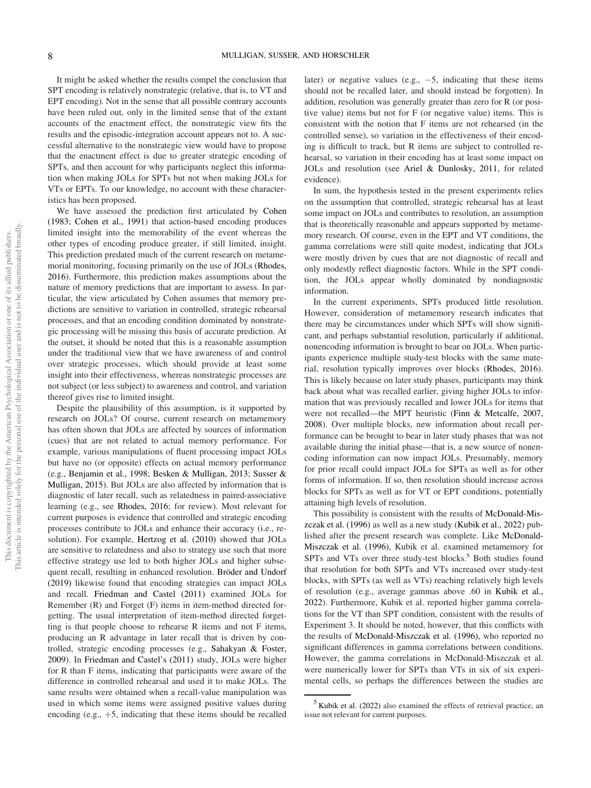It might be asked whether the results compel the conclusion that SPT encoding is relatively nonstrategic (relative, that is, to VT and EPT encoding). Not in the sense that all possible contrary accounts have been ruled out, only in the limited sense that of the extant accounts of the enactment effect, the nonstrategic view fits the results and the episodic-integration account appears not to. A successful alternative to the nonstrategic view would have to propose that the enactment effect is due to greater strategic encoding of SPTs, and then account for why participants neglect this information when making JOLs for SPTs but not when making JOLs for VTs or EPTs. To our knowledge, no account with these characteristics has been proposed.

We have assessed the prediction first articulated by Cohen (1983; Cohen et al., 1991) that action-based encoding produces limited insight into the memorability of the event whereas the other types of encoding produce greater, if still limited, insight. This prediction predated much of the current research on metamemorial monitoring, focusing primarily on the use of JOLs (Rhodes, 2016). Furthermore, this prediction makes assumptions about the nature of memory predictions that are important to assess. In particular, the view articulated by Cohen assumes that memory predictions are sensitive to variation in controlled, strategic rehearsal processes, and that an encoding condition dominated by nonstrategic processing will be missing this basis of accurate prediction. At the outset, it should be noted that this is a reasonable assumption under the traditional view that we have awareness of and control over strategic processes, which should provide at least some insight into their effectiveness, whereas nonstrategic processes are not subject (or less subject) to awareness and control, and variation thereof gives rise to limited insight.

Despite the plausibility of this assumption, is it supported by research on JOLs? Of course, current research on metamemory has often shown that JOLs are affected by sources of information (cues) that are not related to actual memory performance. For example, various manipulations of fluent processing impact JOLs but have no (or opposite) effects on actual memory performance (e.g., Benjamin et al., 1998; Besken & Mulligan, 2013; Susser & Mulligan, 2015). But JOLs are also affected by information that is diagnostic of later recall, such as relatedness in paired-associative learning (e.g., see Rhodes, 2016; for review). Most relevant for current purposes is evidence that controlled and strategic encoding processes contribute to JOLs and enhance their accuracy (i.e., resolution). For example, Hertzog et al. (2010) showed that JOLs are sensitive to relatedness and also to strategy use such that more effective strategy use led to both higher JOLs and higher subsequent recall, resulting in enhanced resolution. Bröder and Undorf (2019) likewise found that encoding strategies can impact JOLs and recall. Friedman and Castel (2011) examined JOLs for Remember (R) and Forget (F) items in item-method directed forgetting. The usual interpretation of item-method directed forgetting is that people choose to rehearse R items and not F items, producing an R advantage in later recall that is driven by controlled, strategic encoding processes (e.g., Sahakyan & Foster, 2009). In Friedman and Castel's (2011) study, JOLs were higher for R than F items, indicating that participants were aware of the difference in controlled rehearsal and used it to make JOLs. The same results were obtained when a recall-value manipulation was used in which some items were assigned positive values during encoding (e.g.,  $+5$ , indicating that these items should be recalled later) or negative values (e.g.,  $-5$ , indicating that these items should not be recalled later, and should instead be forgotten). In addition, resolution was generally greater than zero for R (or positive value) items but not for F (or negative value) items. This is consistent with the notion that F items are not rehearsed (in the controlled sense), so variation in the effectiveness of their encoding is difficult to track, but R items are subject to controlled rehearsal, so variation in their encoding has at least some impact on JOLs and resolution (see Ariel & Dunlosky, 2011, for related evidence).

In sum, the hypothesis tested in the present experiments relies on the assumption that controlled, strategic rehearsal has at least some impact on JOLs and contributes to resolution, an assumption that is theoretically reasonable and appears supported by metamemory research. Of course, even in the EPT and VT conditions, the gamma correlations were still quite modest, indicating that JOLs were mostly driven by cues that are not diagnostic of recall and only modestly reflect diagnostic factors. While in the SPT condition, the JOLs appear wholly dominated by nondiagnostic information.

In the current experiments, SPTs produced little resolution. However, consideration of metamemory research indicates that there may be circumstances under which SPTs will show significant, and perhaps substantial resolution, particularly if additional, nonencoding information is brought to bear on JOLs. When participants experience multiple study-test blocks with the same material, resolution typically improves over blocks (Rhodes, 2016). This is likely because on later study phases, participants may think back about what was recalled earlier, giving higher JOLs to information that was previously recalled and lower JOLs for items that were not recalled—the MPT heuristic (Finn & Metcalfe, 2007, 2008). Over multiple blocks, new information about recall performance can be brought to bear in later study phases that was not available during the initial phase—that is, a new source of nonencoding information can now impact JOLs. Presumably, memory for prior recall could impact JOLs for SPTs as well as for other forms of information. If so, then resolution should increase across blocks for SPTs as well as for VT or EPT conditions, potentially attaining high levels of resolution.

This possibility is consistent with the results of McDonald-Miszczak et al. (1996) as well as a new study (Kubik et al., 2022) published after the present research was complete. Like McDonald-Miszczak et al. (1996), Kubik et al. examined metamemory for SPTs and VTs over three study-test blocks.<sup>5</sup> Both studies found that resolution for both SPTs and VTs increased over study-test blocks, with SPTs (as well as VTs) reaching relatively high levels of resolution (e.g., average gammas above .60 in Kubik et al., 2022). Furthermore, Kubik et al. reported higher gamma correlations for the VT than SPT condition, consistent with the results of Experiment 3. It should be noted, however, that this conflicts with the results of McDonald-Miszczak et al. (1996), who reported no significant differences in gamma correlations between conditions. However, the gamma correlations in McDonald-Miszczak et al. were numerically lower for SPTs than VTs in six of six experimental cells, so perhaps the differences between the studies are

 $<sup>5</sup>$  Kubik et al. (2022) also examined the effects of retrieval practice, an</sup> issue not relevant for current purposes.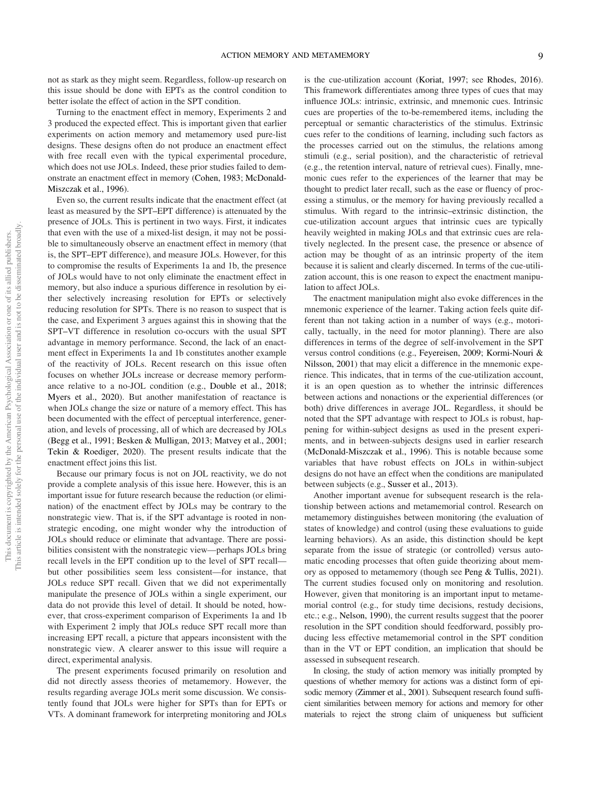not as stark as they might seem. Regardless, follow-up research on this issue should be done with EPTs as the control condition to better isolate the effect of action in the SPT condition.

Turning to the enactment effect in memory, Experiments 2 and 3 produced the expected effect. This is important given that earlier experiments on action memory and metamemory used pure-list designs. These designs often do not produce an enactment effect with free recall even with the typical experimental procedure, which does not use JOLs. Indeed, these prior studies failed to demonstrate an enactment effect in memory (Cohen, 1983; McDonald-Miszczak et al., 1996).

Even so, the current results indicate that the enactment effect (at least as measured by the SPT–EPT difference) is attenuated by the presence of JOLs. This is pertinent in two ways. First, it indicates that even with the use of a mixed-list design, it may not be possible to simultaneously observe an enactment effect in memory (that is, the SPT–EPT difference), and measure JOLs. However, for this to compromise the results of Experiments 1a and 1b, the presence of JOLs would have to not only eliminate the enactment effect in memory, but also induce a spurious difference in resolution by either selectively increasing resolution for EPTs or selectively reducing resolution for SPTs. There is no reason to suspect that is the case, and Experiment 3 argues against this in showing that the SPT–VT difference in resolution co-occurs with the usual SPT advantage in memory performance. Second, the lack of an enactment effect in Experiments 1a and 1b constitutes another example of the reactivity of JOLs. Recent research on this issue often focuses on whether JOLs increase or decrease memory performance relative to a no-JOL condition (e.g., Double et al., 2018; Myers et al., 2020). But another manifestation of reactance is when JOLs change the size or nature of a memory effect. This has been documented with the effect of perceptual interference, generation, and levels of processing, all of which are decreased by JOLs (Begg et al., 1991; Besken & Mulligan, 2013; Matvey et al., 2001; Tekin & Roediger, 2020). The present results indicate that the enactment effect joins this list.

Because our primary focus is not on JOL reactivity, we do not provide a complete analysis of this issue here. However, this is an important issue for future research because the reduction (or elimination) of the enactment effect by JOLs may be contrary to the nonstrategic view. That is, if the SPT advantage is rooted in nonstrategic encoding, one might wonder why the introduction of JOLs should reduce or eliminate that advantage. There are possibilities consistent with the nonstrategic view—perhaps JOLs bring recall levels in the EPT condition up to the level of SPT recall but other possibilities seem less consistent—for instance, that JOLs reduce SPT recall. Given that we did not experimentally manipulate the presence of JOLs within a single experiment, our data do not provide this level of detail. It should be noted, however, that cross-experiment comparison of Experiments 1a and 1b with Experiment 2 imply that JOLs reduce SPT recall more than increasing EPT recall, a picture that appears inconsistent with the nonstrategic view. A clearer answer to this issue will require a direct, experimental analysis.

The present experiments focused primarily on resolution and did not directly assess theories of metamemory. However, the results regarding average JOLs merit some discussion. We consistently found that JOLs were higher for SPTs than for EPTs or VTs. A dominant framework for interpreting monitoring and JOLs is the cue-utilization account (Koriat, 1997; see Rhodes, 2016). This framework differentiates among three types of cues that may influence JOLs: intrinsic, extrinsic, and mnemonic cues. Intrinsic cues are properties of the to-be-remembered items, including the perceptual or semantic characteristics of the stimulus. Extrinsic cues refer to the conditions of learning, including such factors as the processes carried out on the stimulus, the relations among stimuli (e.g., serial position), and the characteristic of retrieval (e.g., the retention interval, nature of retrieval cues). Finally, mnemonic cues refer to the experiences of the learner that may be thought to predict later recall, such as the ease or fluency of processing a stimulus, or the memory for having previously recalled a stimulus. With regard to the intrinsic–extrinsic distinction, the cue-utilization account argues that intrinsic cues are typically heavily weighted in making JOLs and that extrinsic cues are relatively neglected. In the present case, the presence or absence of action may be thought of as an intrinsic property of the item because it is salient and clearly discerned. In terms of the cue-utilization account, this is one reason to expect the enactment manipulation to affect JOLs.

The enactment manipulation might also evoke differences in the mnemonic experience of the learner. Taking action feels quite different than not taking action in a number of ways (e.g., motorically, tactually, in the need for motor planning). There are also differences in terms of the degree of self-involvement in the SPT versus control conditions (e.g., Feyereisen, 2009; Kormi-Nouri & Nilsson, 2001) that may elicit a difference in the mnemonic experience. This indicates, that in terms of the cue-utilization account, it is an open question as to whether the intrinsic differences between actions and nonactions or the experiential differences (or both) drive differences in average JOL. Regardless, it should be noted that the SPT advantage with respect to JOLs is robust, happening for within-subject designs as used in the present experiments, and in between-subjects designs used in earlier research (McDonald-Miszczak et al., 1996). This is notable because some variables that have robust effects on JOLs in within-subject designs do not have an effect when the conditions are manipulated between subjects (e.g., Susser et al., 2013).

Another important avenue for subsequent research is the relationship between actions and metamemorial control. Research on metamemory distinguishes between monitoring (the evaluation of states of knowledge) and control (using these evaluations to guide learning behaviors). As an aside, this distinction should be kept separate from the issue of strategic (or controlled) versus automatic encoding processes that often guide theorizing about memory as opposed to metamemory (though see Peng & Tullis, 2021). The current studies focused only on monitoring and resolution. However, given that monitoring is an important input to metamemorial control (e.g., for study time decisions, restudy decisions, etc.; e.g., Nelson, 1990), the current results suggest that the poorer resolution in the SPT condition should feedforward, possibly producing less effective metamemorial control in the SPT condition than in the VT or EPT condition, an implication that should be assessed in subsequent research.

In closing, the study of action memory was initially prompted by questions of whether memory for actions was a distinct form of episodic memory (Zimmer et al., 2001). Subsequent research found sufficient similarities between memory for actions and memory for other materials to reject the strong claim of uniqueness but sufficient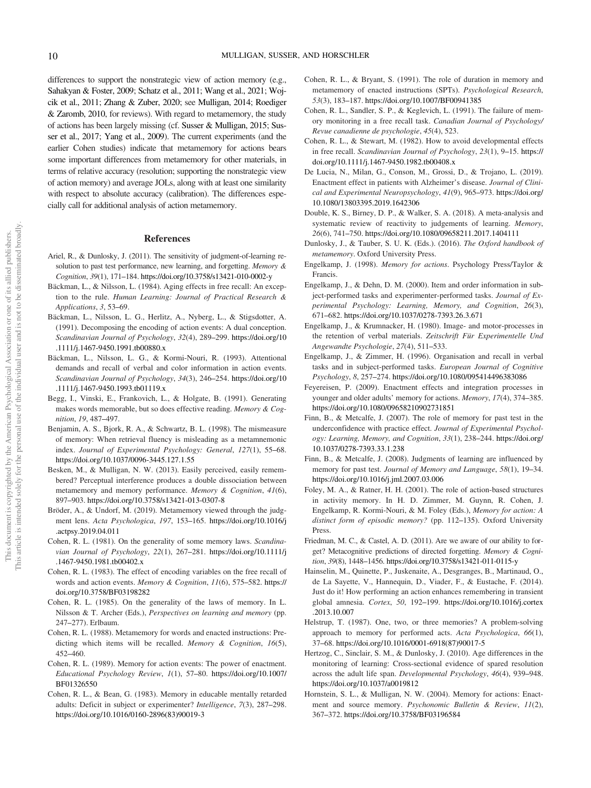differences to support the nonstrategic view of action memory (e.g., Sahakyan & Foster, 2009; Schatz et al., 2011; Wang et al., 2021; Wojcik et al., 2011; Zhang & Zuber, 2020; see Mulligan, 2014; Roediger & Zaromb, 2010, for reviews). With regard to metamemory, the study of actions has been largely missing (cf. Susser & Mulligan, 2015; Susser et al., 2017; Yang et al., 2009). The current experiments (and the earlier Cohen studies) indicate that metamemory for actions bears some important differences from metamemory for other materials, in terms of relative accuracy (resolution; supporting the nonstrategic view of action memory) and average JOLs, along with at least one similarity with respect to absolute accuracy (calibration). The differences especially call for additional analysis of action metamemory.

#### **References**

- Ariel, R., & Dunlosky, J. (2011). The sensitivity of judgment-of-learning resolution to past test performance, new learning, and forgetting. Memory & Cognition, 39(1), 171–184. <https://doi.org/10.3758/s13421-010-0002-y>
- Bäckman, L., & Nilsson, L. (1984). Aging effects in free recall: An exception to the rule. Human Learning: Journal of Practical Research & Applications, 3, 53–69.
- Bäckman, L., Nilsson, L. G., Herlitz, A., Nyberg, L., & Stigsdotter, A. (1991). Decomposing the encoding of action events: A dual conception. Scandinavian Journal of Psychology, 32(4), 289–299. [https://doi.org/10](https://doi.org/10.1111/j.1467-9450.1991.tb00880.x) [.1111/j.1467-9450.1991.tb00880.x](https://doi.org/10.1111/j.1467-9450.1991.tb00880.x)
- Bäckman, L., Nilsson, L. G., & Kormi-Nouri, R. (1993). Attentional demands and recall of verbal and color information in action events. Scandinavian Journal of Psychology, 34(3), 246–254. [https://doi.org/10](https://doi.org/10.1111/j.1467-9450.1993.tb01119.x) [.1111/j.1467-9450.1993.tb01119.x](https://doi.org/10.1111/j.1467-9450.1993.tb01119.x)
- Begg, I., Vinski, E., Frankovich, L., & Holgate, B. (1991). Generating makes words memorable, but so does effective reading. Memory & Cognition, 19, 487–497.
- Benjamin, A. S., Bjork, R. A., & Schwartz, B. L. (1998). The mismeasure of memory: When retrieval fluency is misleading as a metamnemonic index. Journal of Experimental Psychology: General, 127(1), 55–68. <https://doi.org/10.1037/0096-3445.127.1.55>
- Besken, M., & Mulligan, N. W. (2013). Easily perceived, easily remembered? Perceptual interference produces a double dissociation between metamemory and memory performance. Memory & Cognition, 41(6), 897–903. <https://doi.org/10.3758/s13421-013-0307-8>
- Bröder, A., & Undorf, M. (2019). Metamemory viewed through the judgment lens. Acta Psychologica, 197, 153–165. [https://doi.org/10.1016/j](https://doi.org/10.1016/j.actpsy.2019.04.011) [.actpsy.2019.04.011](https://doi.org/10.1016/j.actpsy.2019.04.011)
- Cohen, R. L. (1981). On the generality of some memory laws. Scandinavian Journal of Psychology, 22(1), 267–281. [https://doi.org/10.1111/j](https://doi.org/10.1111/j.1467-9450.1981.tb00402.x) [.1467-9450.1981.tb00402.x](https://doi.org/10.1111/j.1467-9450.1981.tb00402.x)
- Cohen, R. L. (1983). The effect of encoding variables on the free recall of words and action events. Memory & Cognition, 11(6), 575–582. [https://](https://doi.org/10.3758/BF03198282) [doi.org/10.3758/BF03198282](https://doi.org/10.3758/BF03198282)
- Cohen, R. L. (1985). On the generality of the laws of memory. In L. Nilsson & T. Archer (Eds.), Perspectives on learning and memory (pp. 247–277). Erlbaum.
- Cohen, R. L. (1988). Metamemory for words and enacted instructions: Predicting which items will be recalled. Memory & Cognition, 16(5), 452–460.
- Cohen, R. L. (1989). Memory for action events: The power of enactment. Educational Psychology Review, 1(1), 57–80. [https://doi.org/10.1007/](https://doi.org/10.1007/BF01326550) [BF01326550](https://doi.org/10.1007/BF01326550)
- Cohen, R. L., & Bean, G. (1983). Memory in educable mentally retarded adults: Deficit in subject or experimenter? Intelligence, 7(3), 287–298. [https://doi.org/10.1016/0160-2896\(83\)90019-3](https://doi.org/10.1016/0160-2896(83)90019-3)
- Cohen, R. L., & Bryant, S. (1991). The role of duration in memory and metamemory of enacted instructions (SPTs). Psychological Research, 53(3), 183–187. <https://doi.org/10.1007/BF00941385>
- Cohen, R. L., Sandler, S. P., & Keglevich, L. (1991). The failure of memory monitoring in a free recall task. Canadian Journal of Psychology/ Revue canadienne de psychologie, 45(4), 523.
- Cohen, R. L., & Stewart, M. (1982). How to avoid developmental effects in free recall. Scandinavian Journal of Psychology, 23(1), 9–15. [https://](https://doi.org/10.1111/j.1467-9450.1982.tb00408.x) [doi.org/10.1111/j.1467-9450.1982.tb00408.x](https://doi.org/10.1111/j.1467-9450.1982.tb00408.x)
- De Lucia, N., Milan, G., Conson, M., Grossi, D., & Trojano, L. (2019). Enactment effect in patients with Alzheimer's disease. Journal of Clinical and Experimental Neuropsychology, 41(9), 965–973. [https://doi.org/](https://doi.org/10.1080/13803395.2019.1642306) [10.1080/13803395.2019.1642306](https://doi.org/10.1080/13803395.2019.1642306)
- Double, K. S., Birney, D. P., & Walker, S. A. (2018). A meta-analysis and systematic review of reactivity to judgements of learning. Memory, 26(6), 741–750. <https://doi.org/10.1080/09658211.2017.1404111>
- Dunlosky, J., & Tauber, S. U. K. (Eds.). (2016). The Oxford handbook of metamemory. Oxford University Press.
- Engelkamp, J. (1998). Memory for actions. Psychology Press/Taylor & Francis.
- Engelkamp, J., & Dehn, D. M. (2000). Item and order information in subject-performed tasks and experimenter-performed tasks. Journal of Experimental Psychology: Learning, Memory, and Cognition, 26(3), 671–682. <https://doi.org/10.1037/0278-7393.26.3.671>
- Engelkamp, J., & Krumnacker, H. (1980). Image- and motor-processes in the retention of verbal materials. Zeitschrift Für Experimentelle Und Angewandte Psychologie, 27(4), 511–533.
- Engelkamp, J., & Zimmer, H. (1996). Organisation and recall in verbal tasks and in subject-performed tasks. European Journal of Cognitive Psychology, 8, 257–274. <https://doi.org/10.1080/095414496383086>
- Feyereisen, P. (2009). Enactment effects and integration processes in younger and older adults' memory for actions. Memory, 17(4), 374–385. <https://doi.org/10.1080/09658210902731851>
- Finn, B., & Metcalfe, J. (2007). The role of memory for past test in the underconfidence with practice effect. Journal of Experimental Psychology: Learning, Memory, and Cognition, 33(1), 238–244. [https://doi.org/](https://doi.org/10.1037/0278-7393.33.1.238) [10.1037/0278-7393.33.1.238](https://doi.org/10.1037/0278-7393.33.1.238)
- Finn, B., & Metcalfe, J. (2008). Judgments of learning are influenced by memory for past test. Journal of Memory and Language, 58(1), 19-34. <https://doi.org/10.1016/j.jml.2007.03.006>
- Foley, M. A., & Ratner, H. H. (2001). The role of action-based structures in activity memory. In H. D. Zimmer, M. Guynn, R. Cohen, J. Engelkamp, R. Kormi-Nouri, & M. Foley (Eds.), Memory for action: A distinct form of episodic memory? (pp. 112–135). Oxford University Press.
- Friedman, M. C., & Castel, A. D. (2011). Are we aware of our ability to forget? Metacognitive predictions of directed forgetting. Memory & Cognition, 39(8), 1448–1456. <https://doi.org/10.3758/s13421-011-0115-y>
- Hainselin, M., Quinette, P., Juskenaite, A., Desgranges, B., Martinaud, O., de La Sayette, V., Hannequin, D., Viader, F., & Eustache, F. (2014). Just do it! How performing an action enhances remembering in transient global amnesia. Cortex, 50, 192–199. [https://doi.org/10.1016/j.cortex](https://doi.org/10.1016/j.cortex.2013.10.007) [.2013.10.007](https://doi.org/10.1016/j.cortex.2013.10.007)
- Helstrup, T. (1987). One, two, or three memories? A problem-solving approach to memory for performed acts. Acta Psychologica, 66(1), 37–68. [https://doi.org/10.1016/0001-6918\(87\)90017-5](https://doi.org/10.1016/0001-6918(87)90017-5)
- Hertzog, C., Sinclair, S. M., & Dunlosky, J. (2010). Age differences in the monitoring of learning: Cross-sectional evidence of spared resolution across the adult life span. Developmental Psychology, 46(4), 939–948. <https://doi.org/10.1037/a0019812>
- Hornstein, S. L., & Mulligan, N. W. (2004). Memory for actions: Enactment and source memory. Psychonomic Bulletin & Review, 11(2), 367–372. <https://doi.org/10.3758/BF03196584>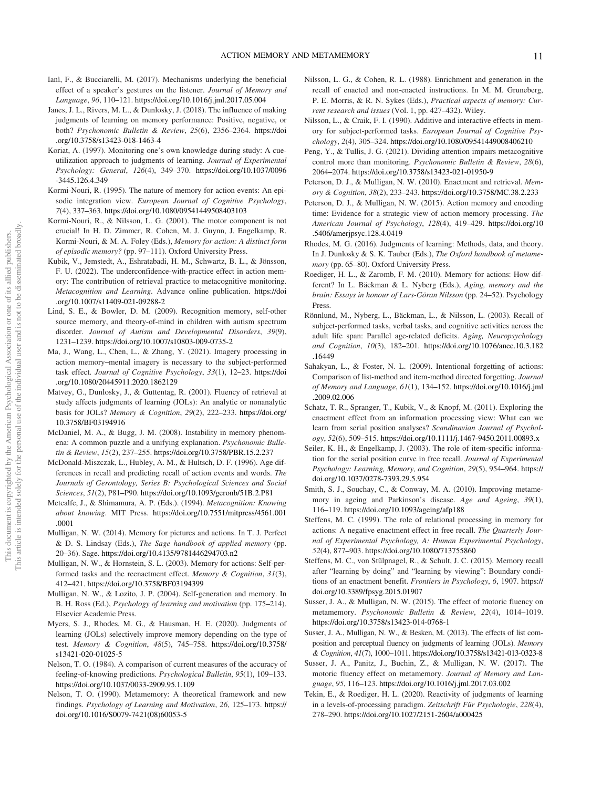- Ianì, F., & Bucciarelli, M. (2017). Mechanisms underlying the beneficial effect of a speaker's gestures on the listener. Journal of Memory and Language, 96, 110–121. <https://doi.org/10.1016/j.jml.2017.05.004>
- Janes, J. L., Rivers, M. L., & Dunlosky, J. (2018). The influence of making judgments of learning on memory performance: Positive, negative, or both? Psychonomic Bulletin & Review, 25(6), 2356–2364. [https://doi](https://doi.org/10.3758/s13423-018-1463-4) [.org/10.3758/s13423-018-1463-4](https://doi.org/10.3758/s13423-018-1463-4)
- Koriat, A. (1997). Monitoring one's own knowledge during study: A cueutilization approach to judgments of learning. Journal of Experimental Psychology: General, 126(4), 349–370. [https://doi.org/10.1037/0096](https://doi.org/10.1037/0096-3445.126.4.349) [-3445.126.4.349](https://doi.org/10.1037/0096-3445.126.4.349)
- Kormi-Nouri, R. (1995). The nature of memory for action events: An episodic integration view. European Journal of Cognitive Psychology, 7(4), 337–363. <https://doi.org/10.1080/09541449508403103>
- Kormi-Nouri, R., & Nilsson, L. G. (2001). The motor component is not crucial! In H. D. Zimmer, R. Cohen, M. J. Guynn, J. Engelkamp, R. Kormi-Nouri, & M. A. Foley (Eds.), Memory for action: A distinct form of episodic memory? (pp. 97–111). Oxford University Press.
- Kubik, V., Jemstedt, A., Eshratabadi, H. M., Schwartz, B. L., & Jönsson, F. U. (2022). The underconfidence-with-practice effect in action memory: The contribution of retrieval practice to metacognitive monitoring. Metacognition and Learning. Advance online publication. [https://doi](https://doi.org/10.1007/s11409-021-09288-2) [.org/10.1007/s11409-021-09288-2](https://doi.org/10.1007/s11409-021-09288-2)
- Lind, S. E., & Bowler, D. M. (2009). Recognition memory, self-other source memory, and theory-of-mind in children with autism spectrum disorder. Journal of Autism and Developmental Disorders, 39(9), 1231–1239. <https://doi.org/10.1007/s10803-009-0735-2>
- Ma, J., Wang, L., Chen, L., & Zhang, Y. (2021). Imagery processing in action memory–mental imagery is necessary to the subject-performed task effect. Journal of Cognitive Psychology, 33(1), 12–23. [https://doi](https://doi.org/10.1080/20445911.2020.1862129) [.org/10.1080/20445911.2020.1862129](https://doi.org/10.1080/20445911.2020.1862129)
- Matvey, G., Dunlosky, J., & Guttentag, R. (2001). Fluency of retrieval at study affects judgments of learning (JOLs): An analytic or nonanalytic basis for JOLs? Memory & Cognition, 29(2), 222–233. [https://doi.org/](https://doi.org/10.3758/BF03194916) [10.3758/BF03194916](https://doi.org/10.3758/BF03194916)
- McDaniel, M. A., & Bugg, J. M. (2008). Instability in memory phenomena: A common puzzle and a unifying explanation. Psychonomic Bulletin & Review, 15(2), 237–255. <https://doi.org/10.3758/PBR.15.2.237>
- McDonald-Miszczak, L., Hubley, A. M., & Hultsch, D. F. (1996). Age differences in recall and predicting recall of action events and words. The Journals of Gerontology, Series B: Psychological Sciences and Social Sciences, 51(2), P81–P90. <https://doi.org/10.1093/geronb/51B.2.P81>
- Metcalfe, J., & Shimamura, A. P. (Eds.). (1994). Metacognition: Knowing about knowing. MIT Press. [https://doi.org/10.7551/mitpress/4561.001](https://doi.org/10.7551/mitpress/4561.001.0001) [.0001](https://doi.org/10.7551/mitpress/4561.001.0001)
- Mulligan, N. W. (2014). Memory for pictures and actions. In T. J. Perfect & D. S. Lindsay (Eds.), The Sage handbook of applied memory (pp. 20–36). Sage. <https://doi.org/10.4135/9781446294703.n2>
- Mulligan, N. W., & Hornstein, S. L. (2003). Memory for actions: Self-performed tasks and the reenactment effect. *Memory & Cognition, 31(3)*, 412–421. <https://doi.org/10.3758/BF03194399>
- Mulligan, N. W., & Lozito, J. P. (2004). Self-generation and memory. In B. H. Ross (Ed.), Psychology of learning and motivation (pp. 175–214). Elsevier Academic Press.
- Myers, S. J., Rhodes, M. G., & Hausman, H. E. (2020). Judgments of learning (JOLs) selectively improve memory depending on the type of test. Memory & Cognition, 48(5), 745–758. [https://doi.org/10.3758/](https://doi.org/10.3758/s13421-020-01025-5) [s13421-020-01025-5](https://doi.org/10.3758/s13421-020-01025-5)
- Nelson, T. O. (1984). A comparison of current measures of the accuracy of feeling-of-knowing predictions. Psychological Bulletin, 95(1), 109–133. <https://doi.org/10.1037/0033-2909.95.1.109>
- Nelson, T. O. (1990). Metamemory: A theoretical framework and new findings. Psychology of Learning and Motivation, 26, 125–173. [https://](https://doi.org/10.1016/S0079-7421(08)60053-5) [doi.org/10.1016/S0079-7421\(08\)60053-5](https://doi.org/10.1016/S0079-7421(08)60053-5)
- Nilsson, L. G., & Cohen, R. L. (1988). Enrichment and generation in the recall of enacted and non-enacted instructions. In M. M. Gruneberg, P. E. Morris, & R. N. Sykes (Eds.), Practical aspects of memory: Current research and issues (Vol. 1, pp. 427–432). Wiley.
- Nilsson, L., & Craik, F. I. (1990). Additive and interactive effects in memory for subject-performed tasks. European Journal of Cognitive Psychology, 2(4), 305–324. <https://doi.org/10.1080/09541449008406210>
- Peng, Y., & Tullis, J. G. (2021). Dividing attention impairs metacognitive control more than monitoring. Psychonomic Bulletin & Review, 28(6), 2064–2074. <https://doi.org/10.3758/s13423-021-01950-9>
- Peterson, D. J., & Mulligan, N. W. (2010). Enactment and retrieval. Memory & Cognition, 38(2), 233–243. <https://doi.org/10.3758/MC.38.2.233>
- Peterson, D. J., & Mulligan, N. W. (2015). Action memory and encoding time: Evidence for a strategic view of action memory processing. The American Journal of Psychology, 128(4), 419–429. [https://doi.org/10](https://doi.org/10.5406/amerjpsyc.128.4.0419) [.5406/amerjpsyc.128.4.0419](https://doi.org/10.5406/amerjpsyc.128.4.0419)
- Rhodes, M. G. (2016). Judgments of learning: Methods, data, and theory. In J. Dunlosky & S. K. Tauber (Eds.), The Oxford handbook of metamemory (pp. 65–80). Oxford University Press.
- Roediger, H. L., & Zaromb, F. M. (2010). Memory for actions: How different? In L. Bäckman & L. Nyberg (Eds.), Aging, memory and the brain: Essays in honour of Lars-Göran Nilsson (pp. 24–52). Psychology Press.
- Rönnlund, M., Nyberg, L., Bäckman, L., & Nilsson, L. (2003). Recall of subject-performed tasks, verbal tasks, and cognitive activities across the adult life span: Parallel age-related deficits. Aging, Neuropsychology and Cognition, 10(3), 182–201. [https://doi.org/10.1076/anec.10.3.182](https://doi.org/10.1076/anec.10.3.182.16449) [.16449](https://doi.org/10.1076/anec.10.3.182.16449)
- Sahakyan, L., & Foster, N. L. (2009). Intentional forgetting of actions: Comparison of list-method and item-method directed forgetting. Journal of Memory and Language, 61(1), 134–152. [https://doi.org/10.1016/j.jml](https://doi.org/10.1016/j.jml.2009.02.006) [.2009.02.006](https://doi.org/10.1016/j.jml.2009.02.006)
- Schatz, T. R., Spranger, T., Kubik, V., & Knopf, M. (2011). Exploring the enactment effect from an information processing view: What can we learn from serial position analyses? Scandinavian Journal of Psychology, 52(6), 509–515. <https://doi.org/10.1111/j.1467-9450.2011.00893.x>
- Seiler, K. H., & Engelkamp, J. (2003). The role of item-specific information for the serial position curve in free recall. Journal of Experimental Psychology: Learning, Memory, and Cognition, 29(5), 954–964. [https://](https://doi.org/10.1037/0278-7393.29.5.954) [doi.org/10.1037/0278-7393.29.5.954](https://doi.org/10.1037/0278-7393.29.5.954)
- Smith, S. J., Souchay, C., & Conway, M. A. (2010). Improving metamemory in ageing and Parkinson's disease. Age and Ageing, 39(1), 116–119. <https://doi.org/10.1093/ageing/afp188>
- Steffens, M. C. (1999). The role of relational processing in memory for actions: A negative enactment effect in free recall. The Quarterly Journal of Experimental Psychology, A: Human Experimental Psychology, 52(4), 877–903. <https://doi.org/10.1080/713755860>
- Steffens, M. C., von Stülpnagel, R., & Schult, J. C. (2015). Memory recall after "learning by doing" and "learning by viewing": Boundary conditions of an enactment benefit. Frontiers in Psychology, 6, 1907. [https://](https://doi.org/10.3389/fpsyg.2015.01907) [doi.org/10.3389/fpsyg.2015.01907](https://doi.org/10.3389/fpsyg.2015.01907)
- Susser, J. A., & Mulligan, N. W. (2015). The effect of motoric fluency on metamemory. Psychonomic Bulletin & Review, 22(4), 1014–1019. <https://doi.org/10.3758/s13423-014-0768-1>
- Susser, J. A., Mulligan, N. W., & Besken, M. (2013). The effects of list composition and perceptual fluency on judgments of learning (JOLs). Memory & Cognition, 41(7), 1000–1011. <https://doi.org/10.3758/s13421-013-0323-8>
- Susser, J. A., Panitz, J., Buchin, Z., & Mulligan, N. W. (2017). The motoric fluency effect on metamemory. Journal of Memory and Language, 95, 116–123. <https://doi.org/10.1016/j.jml.2017.03.002>
- Tekin, E., & Roediger, H. L. (2020). Reactivity of judgments of learning in a levels-of-processing paradigm. Zeitschrift Für Psychologie, 228(4), 278–290. <https://doi.org/10.1027/2151-2604/a000425>